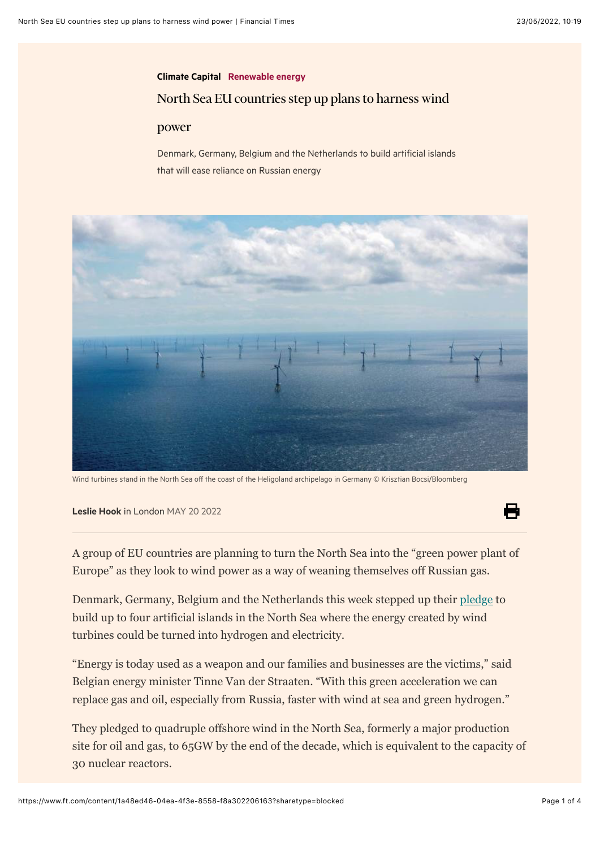## [Climate Capital](https://www.ft.com/climate-capital) [Renewable energy](https://www.ft.com/stream/29e9fad1-14fc-480b-a89c-cd964750bd80) North Sea EU countries step up plans to harness wind

## power

Denmark, Germany, Belgium and the Netherlands to build artificial islands that will ease reliance on Russian energy



Wind turbines stand in the North Sea off the coast of the Heligoland archipelago in Germany © Krisztian Bocsi/Bloomberg

[Leslie Hook](https://www.ft.com/leslie-hook) in London MAY 20 2022

A group of EU countries are planning to turn the North Sea into the "green power plant of Europe" as they look to wind power as a way of weaning themselves off Russian gas.

Denmark, Germany, Belgium and the Netherlands this week stepped up their [pledge](https://en.kefm.dk/Media/637884570050166016/Declaration%20of%20Energy%20Ministers%20(002).pdf) to build up to four artificial islands in the North Sea where the energy created by wind turbines could be turned into hydrogen and electricity.

"Energy is today used as a weapon and our families and businesses are the victims," said Belgian energy minister Tinne Van der Straaten. "With this green acceleration we can replace gas and oil, especially from Russia, faster with wind at sea and green hydrogen."

They pledged to quadruple offshore wind in the North Sea, formerly a major production site for oil and gas, to 65GW by the end of the decade, which is equivalent to the capacity of 30 nuclear reactors.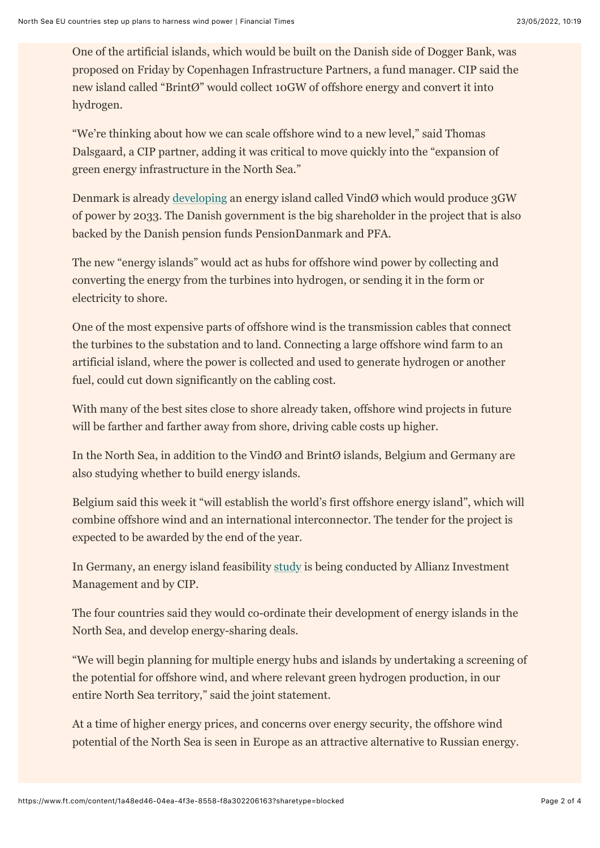One of the artificial islands, which would be built on the Danish side of Dogger Bank, was proposed on Friday by Copenhagen Infrastructure Partners, a fund manager. CIP said the new island called "BrintØ" would collect 10GW of offshore energy and convert it into hydrogen.

"We're thinking about how we can scale offshore wind to a new level," said Thomas Dalsgaard, a CIP partner, adding it was critical to move quickly into the "expansion of green energy infrastructure in the North Sea."

Denmark is already [developing](https://www.ft.com/content/8a44c322-b9ae-4deb-ba59-3d1068363143) an energy island called VindØ which would produce 3GW of power by 2033. The Danish government is the big shareholder in the project that is also backed by the Danish pension funds PensionDanmark and PFA.

The new "energy islands" would act as hubs for offshore wind power by collecting and converting the energy from the turbines into hydrogen, or sending it in the form or electricity to shore.

One of the most expensive parts of offshore wind is the transmission cables that connect the turbines to the substation and to land. Connecting a large offshore wind farm to an artificial island, where the power is collected and used to generate hydrogen or another fuel, could cut down significantly on the cabling cost.

With many of the best sites close to shore already taken, offshore wind projects in future will be farther and farther away from shore, driving cable costs up higher.

In the North Sea, in addition to the VindØ and BrintØ islands, Belgium and Germany are also studying whether to build energy islands.

Belgium said this week it "will establish the world's first offshore energy island", which will combine offshore wind and an international interconnector. The tender for the project is expected to be awarded by the end of the year.

In Germany, an energy island feasibility [study](https://cipartners.dk/2022/05/19/german-energy-island-feasibility-study-to-be-conducted-jointly-by-copenhagen-infrastructure-partners-and-allianz-investment-management/) is being conducted by Allianz Investment Management and by CIP.

The four countries said they would co-ordinate their development of energy islands in the North Sea, and develop energy-sharing deals.

"We will begin planning for multiple energy hubs and islands by undertaking a screening of the potential for offshore wind, and where relevant green hydrogen production, in our entire North Sea territory," said the joint statement.

At a time of higher energy prices, and concerns over energy security, the offshore wind potential of the North Sea is seen in Europe as an attractive alternative to Russian energy.